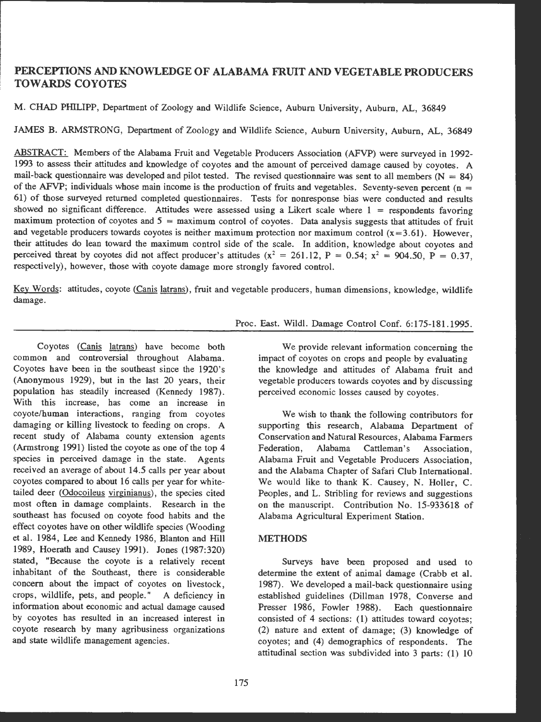# PERCEPTIONS AND KNOWLEDGE OF ALABAMA FRUIT AND VEGETABLE PRODUCERS TOWARDS COYOTES

M. CHAD PHILIPP, Department of Zoology and Wildlife Science, Auburn University, Auburn, AL, 36849

JAMES B. ARMSTRONG, Department of Zoology and Wildlife Science, Auburn University, Auburn, AL, 36849

ABSTRACT: Members of the Alabama Fruit and Vegetable Producers Association (AFVP) were surveyed in 1992- 1993 to assess their attitudes and knowledge of coyotes and the amount of perceived damage caused by coyotes. A mail-back questionnaire was developed and pilot tested. The revised questionnaire was sent to all members  $(N = 84)$ of the AFVP; individuals whose main income is the production of fruits and vegetables. Seventy-seven percent ( $n =$ 61) of those surveyed returned completed questionnaires. Tests for nonresponse bias were conducted and results showed no significant difference. Attitudes were assessed using a Likert scale where  $1 =$  respondents favoring maximum protection of coyotes and *5* = maximum control of coyotes. Data analysis suggests that attitudes of fruit and vegetable producers towards coyotes is neither maximum protection nor maximum control  $(x=3.61)$ . However, their attitudes do lean toward the maximum control side of the scale. In addition, knowledge about coyotes and perceived threat by coyotes did not affect producer's attitudes ( $x^2 = 261.12$ , P = 0.54;  $x^2 = 904.50$ , P = 0.37, respectively), however, those with coyote damage more strongly favored control.

Key Words: attitudes, coyote (Canis latrans), fruit and vegetable producers , human dimensions, knowledge, wildlife damage.

### Proc. East. Wildl. Damage Control Conf. 6:175-181.1995.

Coyotes (Canis latrans) have become both common and controversial throughout Alabama. Coyotes have been in the southeast since the 1920's (Anonymous 1929), but in the last 20 years, their population has steadily increased (Kennedy 1987). **With this** increase, has come an increase in coyote/human interactions, ranging from coyotes damaging or killing livestock to feeding on crops. **<sup>A</sup>** recent study of Alabama county extension agents (Armstrong 1991) listed the coyote as one of the top 4 species in perceived damage in the state. Agents received an average of about 14.5 calls per year about coyotes compared to about 16 calls per year for whitetailed deer (Odocoileus virginianus), the species cited most often in damage complaints. Research in the southeast has focused on coyote food habits and the effect coyotes have on other wildlife species (Wooding et al. 1984, Lee and Kennedy 1986, Blanton and Hill 1989, Hoerath and Causey 1991). Jones (1987:320) stated, "Because the coyote is a relatively recent inhabitant of the Southeast, there is considerable concern about the impact of coyotes on livestock, crops, wildlife, pets, and people." A deficiency in information about economic and actual damage caused by coyotes has resulted in an increased interest in coyote research by many agribusiness organizations and state wildlife management agencies.

We provide relevant information concerning the impact of coyotes on crops and people by evaluating the knowledge and attitudes of Alabama fruit and vegetable producers towards coyotes and by discussing perceived economic losses caused by coyotes.

We wish to thank the following contributors for supporting this research, Alabama Department of Conservation and Natural Resources, Alabama Farmers Federation, Alabama Cattleman's Association, Alabama Fruit and Vegetable Producers Association, and the Alabama Chapter of Safari Club International. We would like to thank K. Causey, N. Holler, C. Peoples, and L. Stribling for reviews and suggestions on the manuscript. Contribution No. 15-933618 of Alabama Agricultural Experiment Station.

# **METHODS**

Surveys have been proposed and used to determine the extent of animal damage (Crabb et al. 1987). We developed a mail-back questionnaire using established guidelines (Dillman 1978, Converse and Presser 1986, Fowler 1988). Each questionnaire consisted of 4 sections: (1) attitudes toward coyotes; (2) nature and extent of damage; (3) knowledge of coyotes; and (4) demographics of respondents. The attitudinal section was subdivided into 3 parts: (1) 10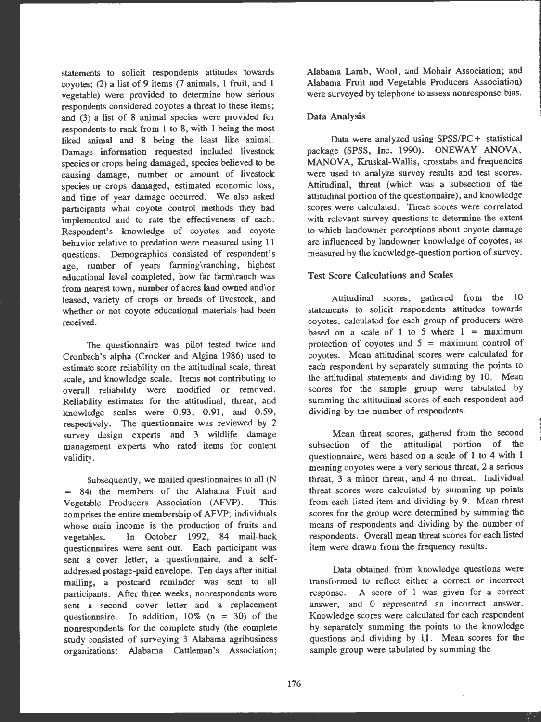statements to solicit respondents attitudes towards covotes; (2) a list of 9 items (7 animals, 1 fruit, and 1 vegetable) were provided to determine how serious respondents considered coyotes a threat to these items; and (3) a list of 8 animal species were provided for respondents to rank from 1 to 8, with 1 being the most liked animal and 8 being the least like animal. Damage information requested included livestock species or crops being damaged, species believed to be causing damage, number or amount of livestock species or crops damaged, estimated economic loss, and time of year damage occurred. We also asked participants what coyote control methods they had implemented and to rate the effectiveness of each. Respondent's knowledge of coyotes and coyote behavior relative to predation were measured using 11 questions. Demographics consisted of respondent's age, number of years farming\ranching, highest educational level completed, how far farm\ranch was from nearest town, number of acres land owned and\or leased, variety of crops or breeds of livestock, and whether or not coyote educational materials had been received.

The questionnaire was pilot tested twice and Cronbach's alpha (Crocker and Algina 1986) used to estimate score reliability on the attitudinal scale, threat scale, and knowledge scale. Items not contributing to overall reliability were modified or removed. Reliability estimates for the attitudinal, threat, and knowledge scales were  $0.93, 0.91,$  and  $0.59,$ respectively. The questionnaire was reviewed by 2 survey design experts and 3 wildlife damage management experts who rated items for content validity.

Subsequently, we mailed questionnaires to all (N  $=$  84) the members of the Alabama Fruit and Vegetable Producers Association (AFVP). This comprises the entire membership of AFVP; individuals whose main income is the production of fruits and vegetables. In October 1992, 84 mail-back questionnaires were sent out. Each participant was sent a cover letter, a questionnaire, and a selfaddressed postage -paid envelope . Ten days after initial mailing, a postcard reminder was sent to all participants. After three weeks, nonrespondents were sent a second cover letter and a replacement questionnaire. In addition,  $10\%$  (n = 30) of the nonrespondents for the complete study (the complete study consisted of surveying 3 Alabama agribusiness organizations: Alabama Cattleman's Association; Alabama Lamb, Wool, and Mohair Association; and Alabama Fruit and Vegetable Producers Association) were surveyed by telephone to assess nonresponse bias.

#### Data Analysis

Data were analyzed using SPSS/PC+ statistical package (SPSS, Inc. 1990). ONEWAY ANOVA, **MANOVA,** Kruskal-Wallis, crosstabs and frequencies were used to analyze survey results and test scores. Attitudinal, threat (which was a subsection of the attitudinal portion of the questionnaire) , and knowledge scores were calculated. These scores were correlated with relevant survey questions to determine the extent to which landowner perceptions about coyote damage are influenced by landowner knowledge of coyotes, as measured by the knowledge-question portion of survey .

## Test Score Calculations and Scales

Attitudinal scores, gathered from the 10 statements to solicit respondents attitudes towards coyotes, calculated for each group of producers were based on a scale of 1 to 5 where  $1 = \text{maximum}$ protection of coyotes and  $5 =$  maximum control of coyotes. Mean attitudinal scores were calculated for each respondent by separately summing the points to the attitudinal statements and dividing by 10. Mean scores for the sample group were tabulated by summing the attitudinal scores of each respondent and dividing by the number of respondents.

Mean threat scores, gathered from the second subsection of the attitudinal portion of the questionnaire, were based on a scale of 1 to 4 with 1 meaning coyotes were a very serious threat, 2 a serious threat, 3 a minor threat, and 4 no threat. Individual threat scores were calculated by summing up points from each listed item and dividing by 9. Mean threat scores for the group were determined by summing the means of respondents and dividing by the number of respondents. Overall mean threat scores for each listed item were drawn from the frequency results.

Data obtained from knowledge questions were transformed to reflect either a correct or incorrect response. A score of 1 was given for a correct answer, and O represented an incorrect answer. Knowledge scores were calculated for each respondent by separately summing the points to the knowledge questions and dividing by 1J. Mean scores for the sample group were tabulated by summing the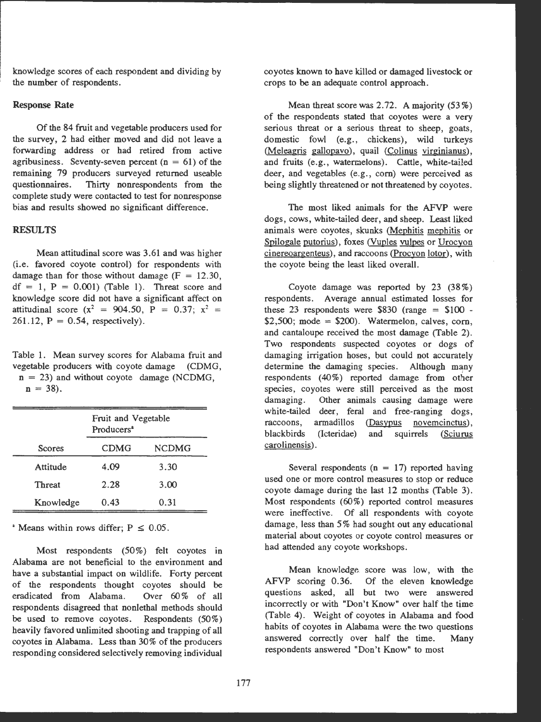knowledge scores of each respondent and dividing by the number of respondents.

## Response Rate

Of the 84 fruit and vegetable producers used for the survey, 2 had either moved and did not leave a forwarding address or had retired from active agribusiness. Seventy-seven percent  $(n = 61)$  of the remaining 79 producers surveyed returned useable questionnaires. Thirty nonrespondents from the complete study were contacted to test for nonresponse bias and results showed no significant difference .

## **RESULTS**

Mean attitudinal score was 3.61 and was higher (i.e. favored coyote control) for respondents with damage than for those without damage  $(F = 12.30)$ ,  $df = 1$ ,  $P = 0.001$ ) (Table 1). Threat score and knowledge score did not have a significant affect on attitudinal score  $(x^2 = 904.50, P = 0.37; x^2 =$ 261.12,  $P = 0.54$ , respectively).

Table 1. Mean survey scores for Alabama fruit and vegetable producers with coyote damage (CDMG,  $n = 23$ ) and without coyote damage (NCDMG,

 $n = 38$ ).

|               | Fruit and Vegetable<br>Producers <sup>2</sup> |              |
|---------------|-----------------------------------------------|--------------|
| <b>Scores</b> | <b>CDMG</b>                                   | <b>NCDMG</b> |
| Attitude      | 4.09                                          | 3.30         |
| <b>Threat</b> | 2.28                                          | 3.00         |
| Knowledge     | 0.43                                          | 0.31         |

<sup>\*</sup> Means within rows differ;  $P \le 0.05$ .

Most respondents (50%) felt coyotes in Alabama are not beneficial to the environment and have a substantial impact on wildlife. Forty percent of the respondents thought coyotes should be eradicated from Alabama. Over 60% of all respondents disagreed that nonlethal methods should be used to remove coyotes. Respondents (50%) heavily favored unlimited shooting and trapping of all coyotes in Alabama. Less than 30% of the producers responding considered selectively removing individual coyotes known to have killed or damaged livestock or crops to be an adequate control approach .

Mean threat score was  $2.72$ . A majority  $(53\%)$ of the respondents stated that coyotes were a very serious threat or a serious threat to sheep, goats, domestic fowl (e.g., chickens), wild turkeys (Meleagris gallopavo). quail (Colinus virginianus), and fruits (e.g., watermelons). Cattle, white-tailed deer, and vegetables (e.g., corn) were perceived as being slightly threatened or not threatened by coyotes.

The most liked animals for the AFVP were dogs, cows, white-tailed deer, and sheep. Least liked animals were coyotes, skunks (Mephitis mephitis or Spilogale putorius), foxes (Vuples vulpes or Urocyon cinereoargenteus). and raccoons (Procyon lotor). with the coyote being the least liked overall.

Coyote damage was reported by  $23$  (38%) respondents. Average annual estimated losses for these 23 respondents were  $$830$  (range =  $$100$  - $$2,500$ ; mode =  $$200$ ). Watermelon, calves, corn, and cantaloupe received the most damage (Table 2). Two respondents suspected coyotes or dogs of damaging irrigation hoses, but could not accurately determine the damaging species. Although many respondents  $(40\%)$  reported damage from other species, coyotes were still perceived as the most damaging . Other animals causing damage **were**  white-tailed deer, feral and free-ranging dogs, raccoons, armadillos (Dasypus novemcinctus), blackbirds (Icteridae) and squirrels (Sciurus carolinensis).

Several respondents  $(n = 17)$  reported having used one or more control measures to stop or reduce coyote damage during the last 12 months (Table 3). Most respondents (60%) reported control measures were ineffective. Of all respondents with coyote damage, less than 5% had sought out any educational material about coyotes or coyote control measures or had attended any coyote workshops.

Mean knowledge, score was low, with the AFVP scoring 0.36. Of the eleven knowledge questions asked, all but two were answered incorrectly or with "Don't Know" over half the time (Table 4). Weight of coyotes in Alabama and food habits of coyotes in Alabama were the two questions answered correctly over half the time. Many respondents answered "Don't Know" to most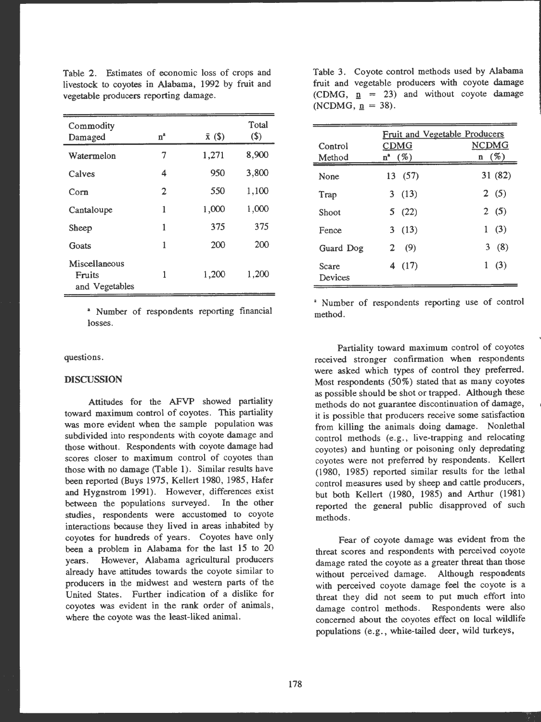Table 2. Estimates of economic loss of crops and livestock to coyotes in Alabama, 1992 by fruit and vegetable producers reporting damage.

| Commodity<br>Damaged                      | n <sup>a</sup> | $\bar{x}$ (\$) | Total<br>\$) |
|-------------------------------------------|----------------|----------------|--------------|
| Watermelon                                | 7              | 1,271          | 8,900        |
| Calves                                    | 4              | 950            | 3,800        |
| Corn                                      | 2              | 550            | 1,100        |
| Cantaloupe                                | 1              | 1,000          | 1,000        |
| Sheep                                     | 1              | 375            | 375          |
| Goats                                     | 1              | 200            | 200          |
| Miscellaneous<br>Fruits<br>and Vegetables | 1              | 1,200          | 1,200        |

• Number of respondents reporting financial losses.

questions.

#### **DISCUSSION**

Attitudes for the AFVP showed partiality toward maximum control of coyotes. This partiality was more evident when the sample population was subdivided into respondents with coyote damage and those without. Respondents with coyote damage had scores closer to maximum control of coyotes than those with no damage (Table 1). Similar results have been reported (Buys 1975, Kellert 1980, 1985, Hafer and Hygnstrom 1991). However, differences exist between the populations surveyed. In the other studies, respondents were accustomed to coyote interactions because they lived in areas inhabited by coyotes for hundreds of years. Coyotes have only been a problem in Alabama for the last 15 to 20 years. However, Alabama agricultural producers already have attitudes towards the coyote similar to producers in the midwest and western parts of the United States. Further indication of a dislike for coyotes was evident in the rank order of animals, where the coyote was the least-liked animal.

Table 3. Coyote control methods used by Alabama fruit and vegetable producers with coyote damage (CDMG,  $n = 23$ ) and without coyote damage (NCDMG,  $p = 38$ ).

| Control<br>Method | Fruit and Vegetable Producers<br><b>CDMG</b><br>$n^{a}$ (%) | <b>NCDMG</b><br>$n \quad (\%)$ |
|-------------------|-------------------------------------------------------------|--------------------------------|
| None              | 13 (57)                                                     | 31 (82)                        |
| Trap              | 3(13)                                                       | 2(5)                           |
| Shoot             | 5(22)                                                       | 2(5)                           |
| Fence             | 3(13)                                                       | 1(3)                           |
| Guard Dog         | (9)<br>$\mathbf{2}$                                         | 3(8)                           |
| Scare<br>Devices  | 4 (17)                                                      | 1(3)                           |

• Number of respondents reporting use of control method.

Partiality toward maximum control of coyotes received stronger confirmation when respondents were asked which types of control they preferred. Most respondents (50%) stated that as many coyotes as possible should be shot or trapped. Although these methods do not guarantee discontinuation of damage, it is possible that producers receive some satisfaction from killing the animals doing damage. Nonlethal control methods (e.g., live-trapping and relocating coyotes) and hunting or poisoning only depredating coyotes were not preferred by respondents. Kellert (1980, 1985) reported similar results for the lethal control measures used by sheep and cattle producers, but both Kellert (1980, 1985) and Arthur (1981) reported the general public disapproved of such methods.

Fear of coyote damage was evident from the threat scores and respondents with perceived coyote damage rated the coyote as a greater threat than those without perceived damage. Although respondents with perceived coyote damage feel the coyote is a threat they did not seem to put much effort into damage control methods. Respondents were also concerned about the coyotes effect on local wildlife populations (e.g., white-tailed deer, wild turkeys,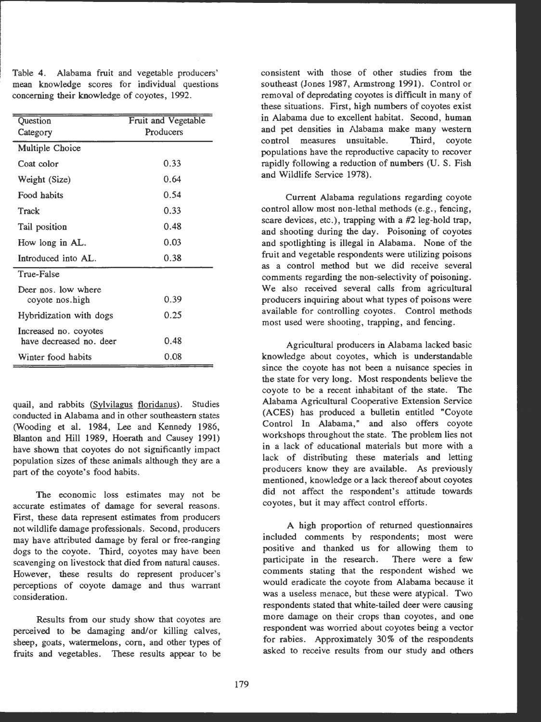Table 4. Alabama fruit and vegetable producers' mean knowledge scores for individual questions concerning their knowledge of coyotes, 1992.

| Question<br>Category                             | Fruit and Vegetable<br>Producers |
|--------------------------------------------------|----------------------------------|
| Multiple Choice                                  |                                  |
| Coat color                                       | 0.33                             |
| Weight (Size)                                    | 0.64                             |
| Food habits                                      | 0.54                             |
| Track                                            | 0.33                             |
| Tail position                                    | በ 48                             |
| How long in AL.                                  | 0.03                             |
| Introduced into AL.                              | 0.38                             |
| True-False                                       |                                  |
| Deer nos. low where<br>coyote nos.high           | 0.39                             |
| Hybridization with dogs                          | 0.25                             |
| Increased no. coyotes<br>have decreased no. deer | 0.48                             |
| Winter food habits                               | 0.08                             |

quail, and rabbits (Sylvilagus floridanus). Studies conducted in Alabama and in other southeastern states (Wooding et al. 1984, Lee and Kennedy 1986, Blanton and Hill 1989, Hoerath and Causey 1991) have shown that coyotes do not significantly impact population sizes of these animals although they are a part of the coyote's food habits.

The economic loss estimates may not be accurate estimates of damage for several reasons. First, these data represent estimates from producers not wildlife damage professionals. Second, producers may have attributed damage by feral or free-ranging dogs to the coyote. Third, coyotes may have been scavenging on livestock that died from natural causes. However, these results do represent producer's perceptions of coyote damage and thus warrant consideration.

Results from our study show that coyotes are perceived to be damaging and/or killing calves, sheep, goats, watermelons, corn, and other types of fruits and vegetables. These results appear to be consistent with those of other studies from the southeast (Jones 1987, Armstrong 1991). Control or removal of depredating coyotes is difficult in many of these situations. First, high numbers of coyotes exist in Alabama due to excellent habitat. Second, human and pet densities in Alabama make many western control measures unsuitable. Third, coyote populations have the reproductive capacity to recover rapidly following a reduction of numbers (U. S. Fish and Wildlife Service 1978).

Current Alabama regulations regarding coyote control allow most non-lethal methods (e.g., fencing, scare devices, etc.), trapping with a #2 leg-hold trap, and shooting during the day. Poisoning of coyotes and spotlighting is illegal in Alabama. None of the fruit and vegetable respondents were utilizing poisons as a control method but we did receive several comments regarding the non-selectivity of poisoning. We also received several calls from agricultural producers inquiring about what types of poisons were available for controlling coyotes. Control methods most used were shooting, trapping, and fencing.

Agricultural producers in Alabama lacked basic knowledge about coyotes, which is understandable since the coyote has not been a nuisance species in the state for very long. Most respondents believe the coyote to be a recent inhabitant of the state. The Alabama Agricultural Cooperative Extension Service (ACES) has produced a bulletin entitled "Coyote Control In Alabama," and also offers coyote workshops throughout the state. The problem lies not in a lack of educational materials but more with a lack of distributing these materials and letting producers know they are available. As previously mentioned, knowledge or a lack thereof about coyotes did not affect the respondent's attitude towards coyotes, but it may affect control efforts.

A high proportion of returned questionnaires included comments by respondents; most were positive and thanked us for allowing them to participate in the research. There were a few comments stating that the respondent wished we would eradicate the coyote from Alabama because it was a useless menace, but these were atypical. Two respondents stated that white-tailed deer were causing more damage on their crops than coyotes, and one respondent was worried about coyotes being a vector for rabies. Approximately 30% of the respondents asked to receive results from our study and others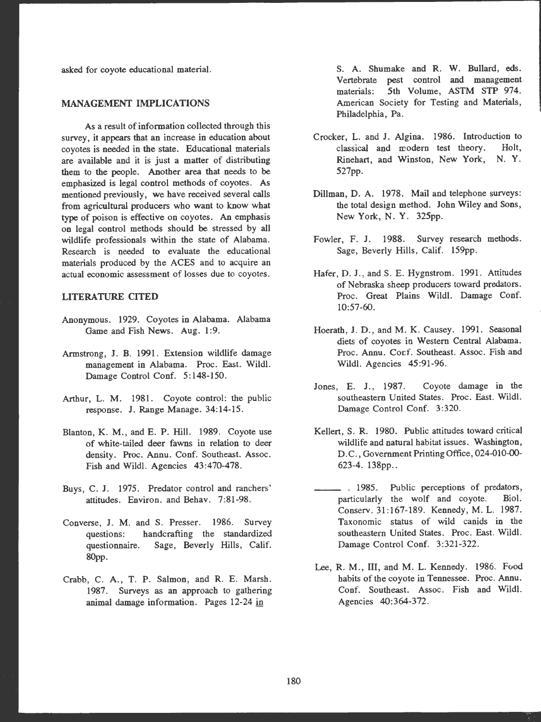asked for coyote educational material.

### **MANAGEMENT IMPLICATIONS**

As a result of information collected through this survey, it appears that an increase in education about coyotes is needed in the state. Educational materials are available and it is just a matter of distributing them to the people. Another area that needs to be emphasized is legal control methods of coyotes. As mentioned previously, we have received several calls from agricultural producers who want to know what type of poison is effective on coyotes. An emphasis on legal control methods should be stressed by all wildlife professionals within the state of Alabama. Research is needed to evaluate the educational materials produced by the ACES and to acquire an actual economic assessment of losses due to coyotes.

## **LITERATURE CITED**

- Anonymous. 1929. Coyotes in Alabama. Alabama Game and Fish News. Aug. 1:9.
- Armstrong, J. B. 1991. Extension wildlife damage management in Alabama. Proc. East. Wildl. Damage Control Conf. 5:148-150.
- Arthur, L. M. 1981. Coyote control: the public response. **J.** Range Manage. 34:14-15.
- Blanton, **K. M.,** and E. P. Hill. 1989. Coyote use of white-tailed deer fawns in relation to deer density. Proc. Annu. Conf. Southeast. Assoc. Fish and Wild!. Agencies 43:470-478.
- Buys, C. **J.** 1975. Predator control and ranchers' attitudes. Environ. and Behav. 7:81-98.
- Converse, J. M. and S. Presser. 1986. Survey questions: handcrafting the standardized questionnaire. Sage, Beverly Hills, Calif. 80pp.
- Crabb, C. A., T. P. Salmon, and R. E. Marsh. 1987. Surveys as an approach to gathering animal damage information. Pages 12-24 in

S. A. Shumake and **R. W.** Bullard, eds. Vertebrate pest control and management materials: 5th Volume, ASTM STP 974. American Society for Testing and Materials, Philadelphia, Pa.

- Crocker, L. and J. Algina. 1986. Introduction to classical and modern test theory. Holt, Rinehart, and Winston, New York, N. Y. 527pp.
- Dillman, D. A. 1978. Mail and telephone surveys: the total design method. John Wiley and Sons, New York, **N. Y.** 325pp.
- Fowler, F. J. 1988. Survey research methods. Sage, Beverly Hills, Calif. 159pp.
- Hafer, D. J., and S. E. Hygnstrom. 1991. Attitudes of Nebraska sheep producers toward predators. Proc. Great Plains Wild!. Damage Conf. 10:57-60.
- Hoerath, J. D., and M. K. Causey. 1991. Seasonal diets of coyotes in Western Central Alabama. Proc. Annu. Corf. Southeast. Assoc. Fish and Wild!. Agencies 45:91-96.
- Jones, E. **J.,** 1987. Coyote damage in the southeastern United States. Proc. East. Wild!. Damage Control Conf. 3:320.
- Kellert, S. R. 1980. Public attitudes toward critical wildlife and natural habitat issues. Washington, D. C., Government Printing Office, 024-010-00- 623-4. 138pp..
- \_\_\_ . 1985. Public perceptions of predators, particularly the wolf and coyote. Biol. Conserv. 31:167-189. Kennedy, M. L. 1987. Taxonomic status of wild canids in the southeastern United States. Proc. East. Wild!. Damage Control Conf. 3:321-322 .
- Lee, R. M., III, and M. L. Kennedy. 1986. Food habits of the coyote in Tennessee. Proc. Annu. Conf. Southeast. Assoc. Fish and Wild!. Agencies 40:364-372.